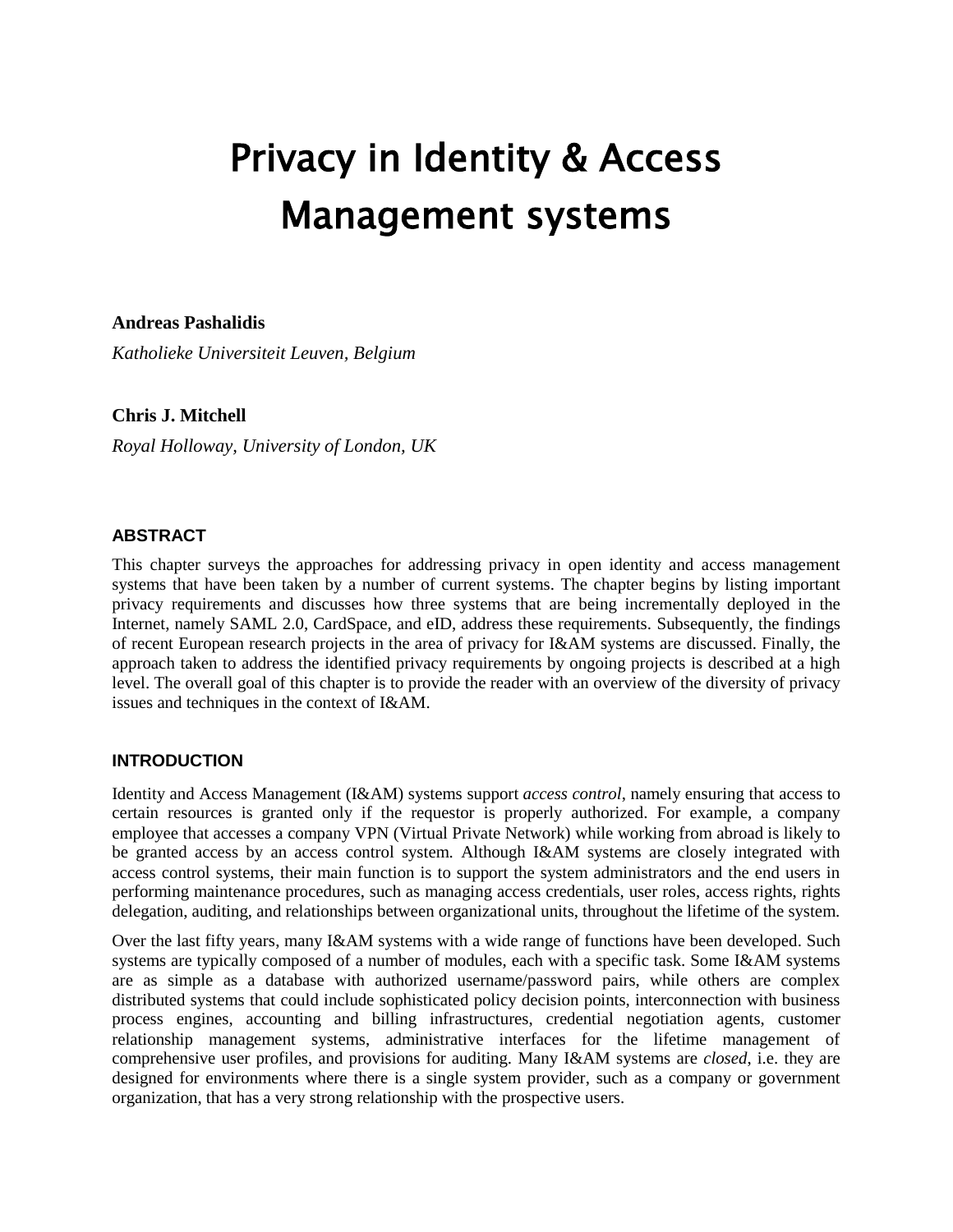# Privacy in Identity & Access Management systems

**Andreas Pashalidis**

*Katholieke Universiteit Leuven, Belgium*

# **Chris J. Mitchell**

*Royal Holloway, University of London, UK*

# **ABSTRACT**

This chapter surveys the approaches for addressing privacy in open identity and access management systems that have been taken by a number of current systems. The chapter begins by listing important privacy requirements and discusses how three systems that are being incrementally deployed in the Internet, namely SAML 2.0, CardSpace, and eID, address these requirements. Subsequently, the findings of recent European research projects in the area of privacy for I&AM systems are discussed. Finally, the approach taken to address the identified privacy requirements by ongoing projects is described at a high level. The overall goal of this chapter is to provide the reader with an overview of the diversity of privacy issues and techniques in the context of I&AM.

# **INTRODUCTION**

Identity and Access Management (I&AM) systems support *access control*, namely ensuring that access to certain resources is granted only if the requestor is properly authorized. For example, a company employee that accesses a company VPN (Virtual Private Network) while working from abroad is likely to be granted access by an access control system. Although I&AM systems are closely integrated with access control systems, their main function is to support the system administrators and the end users in performing maintenance procedures, such as managing access credentials, user roles, access rights, rights delegation, auditing, and relationships between organizational units, throughout the lifetime of the system.

Over the last fifty years, many I&AM systems with a wide range of functions have been developed. Such systems are typically composed of a number of modules, each with a specific task. Some I&AM systems are as simple as a database with authorized username/password pairs, while others are complex distributed systems that could include sophisticated policy decision points, interconnection with business process engines, accounting and billing infrastructures, credential negotiation agents, customer relationship management systems, administrative interfaces for the lifetime management of comprehensive user profiles, and provisions for auditing. Many I&AM systems are *closed*, i.e. they are designed for environments where there is a single system provider, such as a company or government organization, that has a very strong relationship with the prospective users.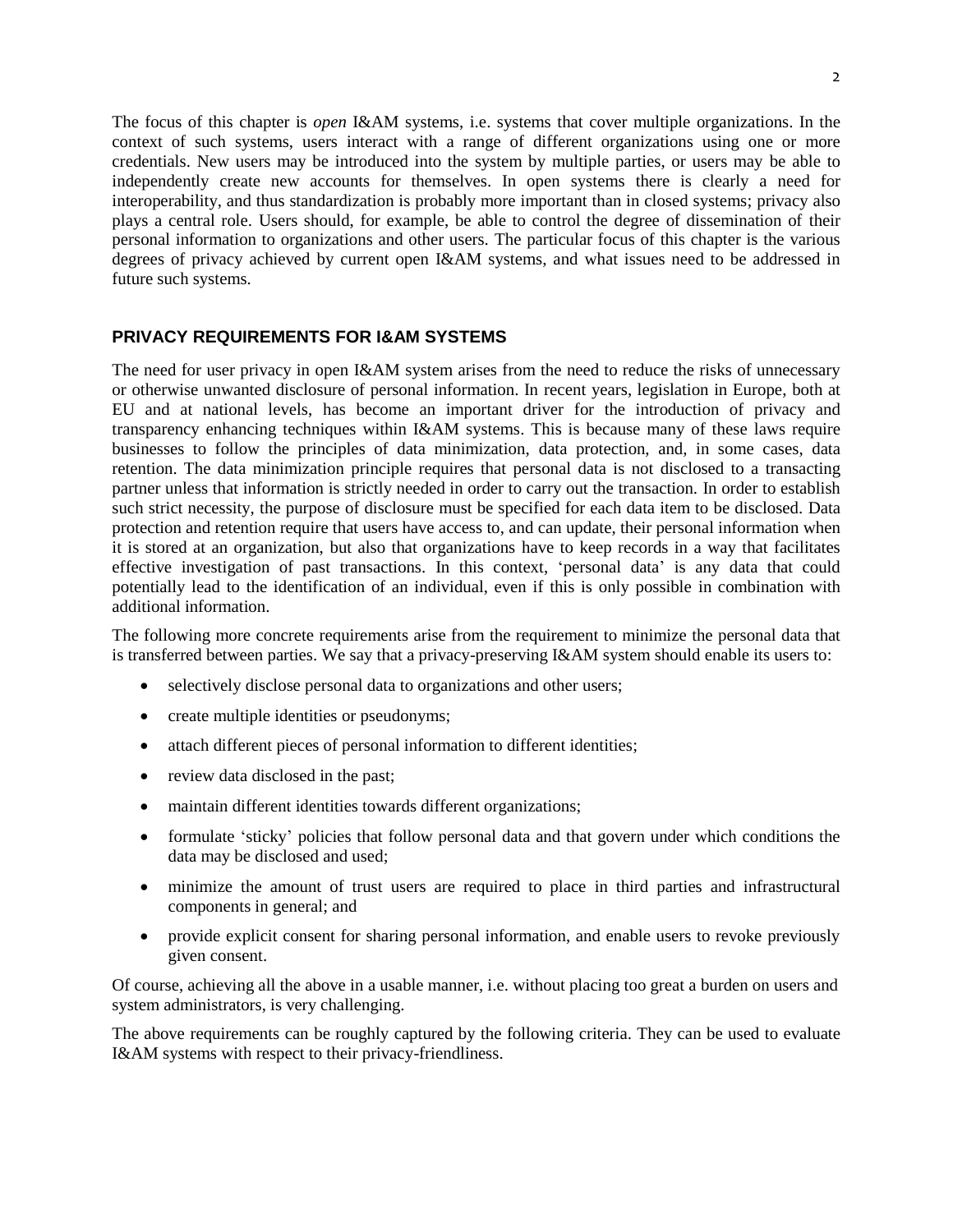The focus of this chapter is *open* I&AM systems, i.e. systems that cover multiple organizations. In the context of such systems, users interact with a range of different organizations using one or more credentials. New users may be introduced into the system by multiple parties, or users may be able to independently create new accounts for themselves. In open systems there is clearly a need for interoperability, and thus standardization is probably more important than in closed systems; privacy also plays a central role. Users should, for example, be able to control the degree of dissemination of their personal information to organizations and other users. The particular focus of this chapter is the various degrees of privacy achieved by current open I&AM systems, and what issues need to be addressed in future such systems.

# **PRIVACY REQUIREMENTS FOR I&AM SYSTEMS**

The need for user privacy in open I&AM system arises from the need to reduce the risks of unnecessary or otherwise unwanted disclosure of personal information. In recent years, legislation in Europe, both at EU and at national levels, has become an important driver for the introduction of privacy and transparency enhancing techniques within I&AM systems. This is because many of these laws require businesses to follow the principles of data minimization, data protection, and, in some cases, data retention. The data minimization principle requires that personal data is not disclosed to a transacting partner unless that information is strictly needed in order to carry out the transaction. In order to establish such strict necessity, the purpose of disclosure must be specified for each data item to be disclosed. Data protection and retention require that users have access to, and can update, their personal information when it is stored at an organization, but also that organizations have to keep records in a way that facilitates effective investigation of past transactions. In this context, "personal data" is any data that could potentially lead to the identification of an individual, even if this is only possible in combination with additional information.

The following more concrete requirements arise from the requirement to minimize the personal data that is transferred between parties. We say that a privacy-preserving I&AM system should enable its users to:

- selectively disclose personal data to organizations and other users;
- create multiple identities or pseudonyms;
- attach different pieces of personal information to different identities;
- review data disclosed in the past;
- maintain different identities towards different organizations;
- formulate 'sticky' policies that follow personal data and that govern under which conditions the data may be disclosed and used;
- minimize the amount of trust users are required to place in third parties and infrastructural components in general; and
- provide explicit consent for sharing personal information, and enable users to revoke previously given consent.

Of course, achieving all the above in a usable manner, i.e. without placing too great a burden on users and system administrators, is very challenging.

The above requirements can be roughly captured by the following criteria. They can be used to evaluate I&AM systems with respect to their privacy-friendliness.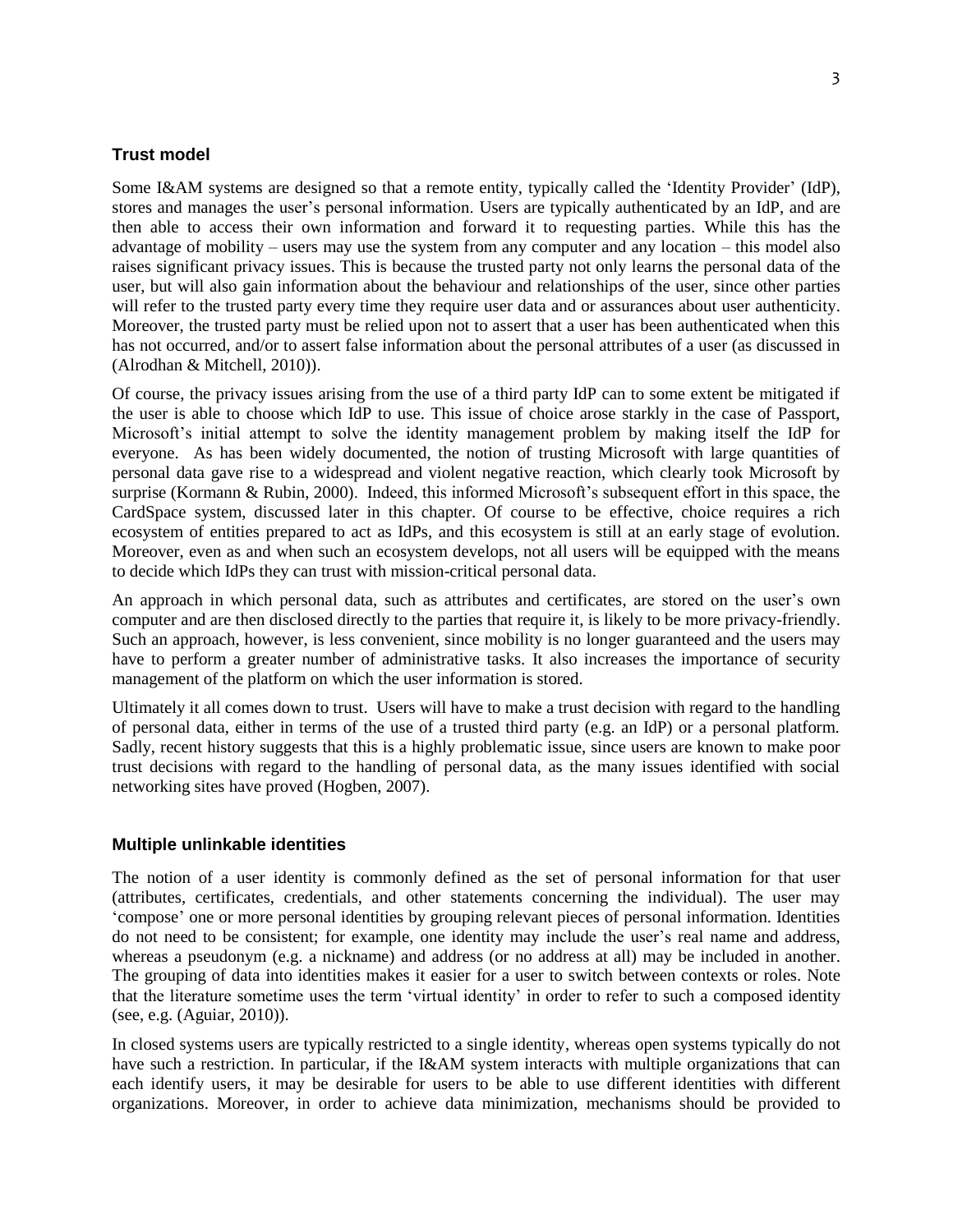## **Trust model**

Some I&AM systems are designed so that a remote entity, typically called the "Identity Provider" (IdP), stores and manages the user"s personal information. Users are typically authenticated by an IdP, and are then able to access their own information and forward it to requesting parties. While this has the advantage of mobility – users may use the system from any computer and any location – this model also raises significant privacy issues. This is because the trusted party not only learns the personal data of the user, but will also gain information about the behaviour and relationships of the user, since other parties will refer to the trusted party every time they require user data and or assurances about user authenticity. Moreover, the trusted party must be relied upon not to assert that a user has been authenticated when this has not occurred, and/or to assert false information about the personal attributes of a user (as discussed in (Alrodhan & Mitchell, 2010)).

Of course, the privacy issues arising from the use of a third party IdP can to some extent be mitigated if the user is able to choose which IdP to use. This issue of choice arose starkly in the case of Passport, Microsoft"s initial attempt to solve the identity management problem by making itself the IdP for everyone. As has been widely documented, the notion of trusting Microsoft with large quantities of personal data gave rise to a widespread and violent negative reaction, which clearly took Microsoft by surprise (Kormann & Rubin, 2000). Indeed, this informed Microsoft's subsequent effort in this space, the CardSpace system, discussed later in this chapter. Of course to be effective, choice requires a rich ecosystem of entities prepared to act as IdPs, and this ecosystem is still at an early stage of evolution. Moreover, even as and when such an ecosystem develops, not all users will be equipped with the means to decide which IdPs they can trust with mission-critical personal data.

An approach in which personal data, such as attributes and certificates, are stored on the user's own computer and are then disclosed directly to the parties that require it, is likely to be more privacy-friendly. Such an approach, however, is less convenient, since mobility is no longer guaranteed and the users may have to perform a greater number of administrative tasks. It also increases the importance of security management of the platform on which the user information is stored.

Ultimately it all comes down to trust. Users will have to make a trust decision with regard to the handling of personal data, either in terms of the use of a trusted third party (e.g. an IdP) or a personal platform. Sadly, recent history suggests that this is a highly problematic issue, since users are known to make poor trust decisions with regard to the handling of personal data, as the many issues identified with social networking sites have proved (Hogben, 2007).

#### **Multiple unlinkable identities**

The notion of a user identity is commonly defined as the set of personal information for that user (attributes, certificates, credentials, and other statements concerning the individual). The user may "compose" one or more personal identities by grouping relevant pieces of personal information. Identities do not need to be consistent; for example, one identity may include the user's real name and address, whereas a pseudonym (e.g. a nickname) and address (or no address at all) may be included in another. The grouping of data into identities makes it easier for a user to switch between contexts or roles. Note that the literature sometime uses the term "virtual identity" in order to refer to such a composed identity (see, e.g. (Aguiar, 2010)).

In closed systems users are typically restricted to a single identity, whereas open systems typically do not have such a restriction. In particular, if the I&AM system interacts with multiple organizations that can each identify users, it may be desirable for users to be able to use different identities with different organizations. Moreover, in order to achieve data minimization, mechanisms should be provided to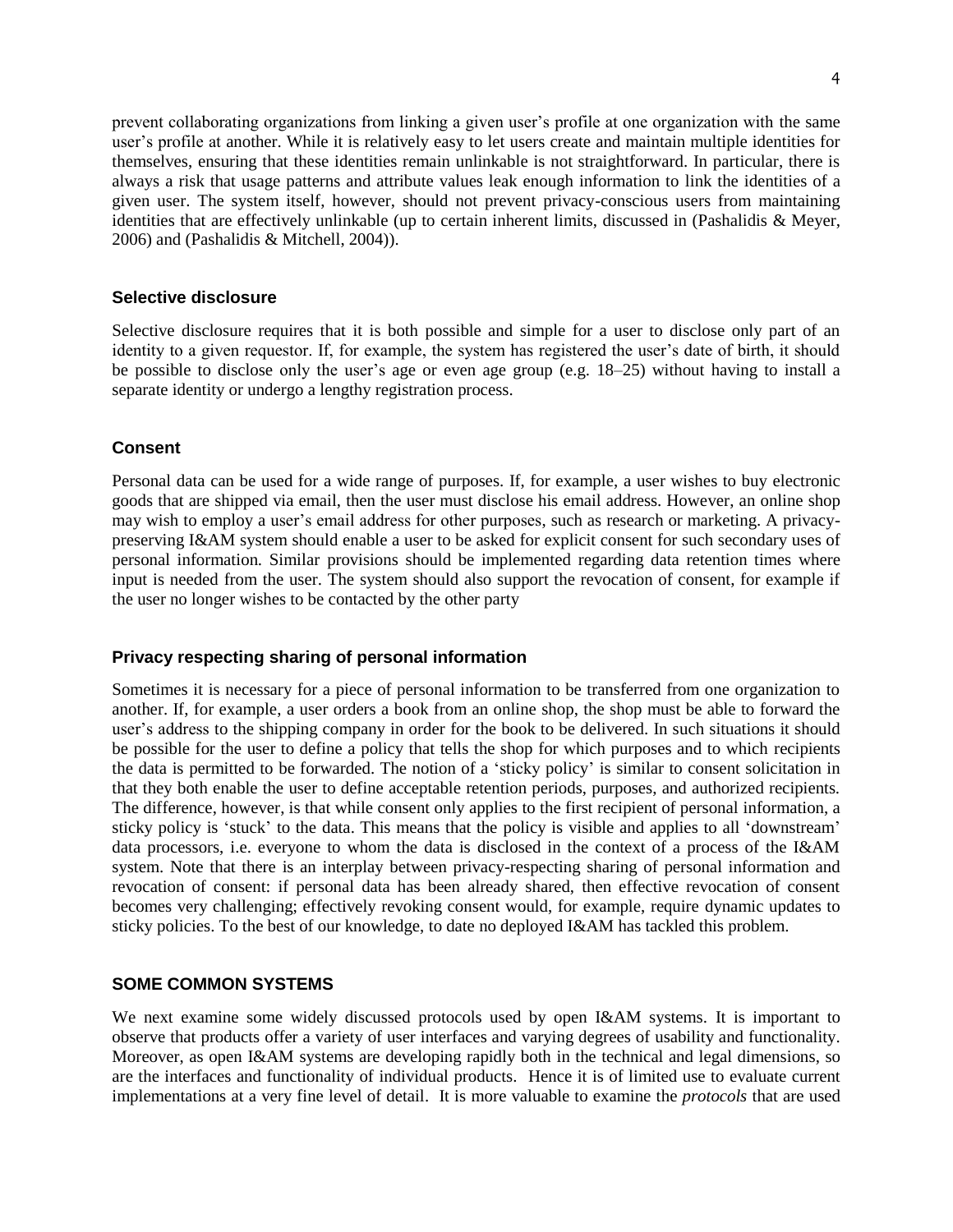prevent collaborating organizations from linking a given user"s profile at one organization with the same user"s profile at another. While it is relatively easy to let users create and maintain multiple identities for themselves, ensuring that these identities remain unlinkable is not straightforward. In particular, there is always a risk that usage patterns and attribute values leak enough information to link the identities of a given user. The system itself, however, should not prevent privacy-conscious users from maintaining identities that are effectively unlinkable (up to certain inherent limits, discussed in (Pashalidis & Meyer, 2006) and (Pashalidis & Mitchell, 2004)).

#### **Selective disclosure**

Selective disclosure requires that it is both possible and simple for a user to disclose only part of an identity to a given requestor. If, for example, the system has registered the user"s date of birth, it should be possible to disclose only the user"s age or even age group (e.g. 18–25) without having to install a separate identity or undergo a lengthy registration process.

#### **Consent**

Personal data can be used for a wide range of purposes. If, for example, a user wishes to buy electronic goods that are shipped via email, then the user must disclose his email address. However, an online shop may wish to employ a user"s email address for other purposes, such as research or marketing. A privacypreserving I&AM system should enable a user to be asked for explicit consent for such secondary uses of personal information. Similar provisions should be implemented regarding data retention times where input is needed from the user. The system should also support the revocation of consent, for example if the user no longer wishes to be contacted by the other party

#### **Privacy respecting sharing of personal information**

Sometimes it is necessary for a piece of personal information to be transferred from one organization to another. If, for example, a user orders a book from an online shop, the shop must be able to forward the user"s address to the shipping company in order for the book to be delivered. In such situations it should be possible for the user to define a policy that tells the shop for which purposes and to which recipients the data is permitted to be forwarded. The notion of a "sticky policy" is similar to consent solicitation in that they both enable the user to define acceptable retention periods, purposes, and authorized recipients. The difference, however, is that while consent only applies to the first recipient of personal information, a sticky policy is 'stuck' to the data. This means that the policy is visible and applies to all 'downstream' data processors, i.e. everyone to whom the data is disclosed in the context of a process of the I&AM system. Note that there is an interplay between privacy-respecting sharing of personal information and revocation of consent: if personal data has been already shared, then effective revocation of consent becomes very challenging; effectively revoking consent would, for example, require dynamic updates to sticky policies. To the best of our knowledge, to date no deployed I&AM has tackled this problem.

## **SOME COMMON SYSTEMS**

We next examine some widely discussed protocols used by open I&AM systems. It is important to observe that products offer a variety of user interfaces and varying degrees of usability and functionality. Moreover, as open I&AM systems are developing rapidly both in the technical and legal dimensions, so are the interfaces and functionality of individual products. Hence it is of limited use to evaluate current implementations at a very fine level of detail. It is more valuable to examine the *protocols* that are used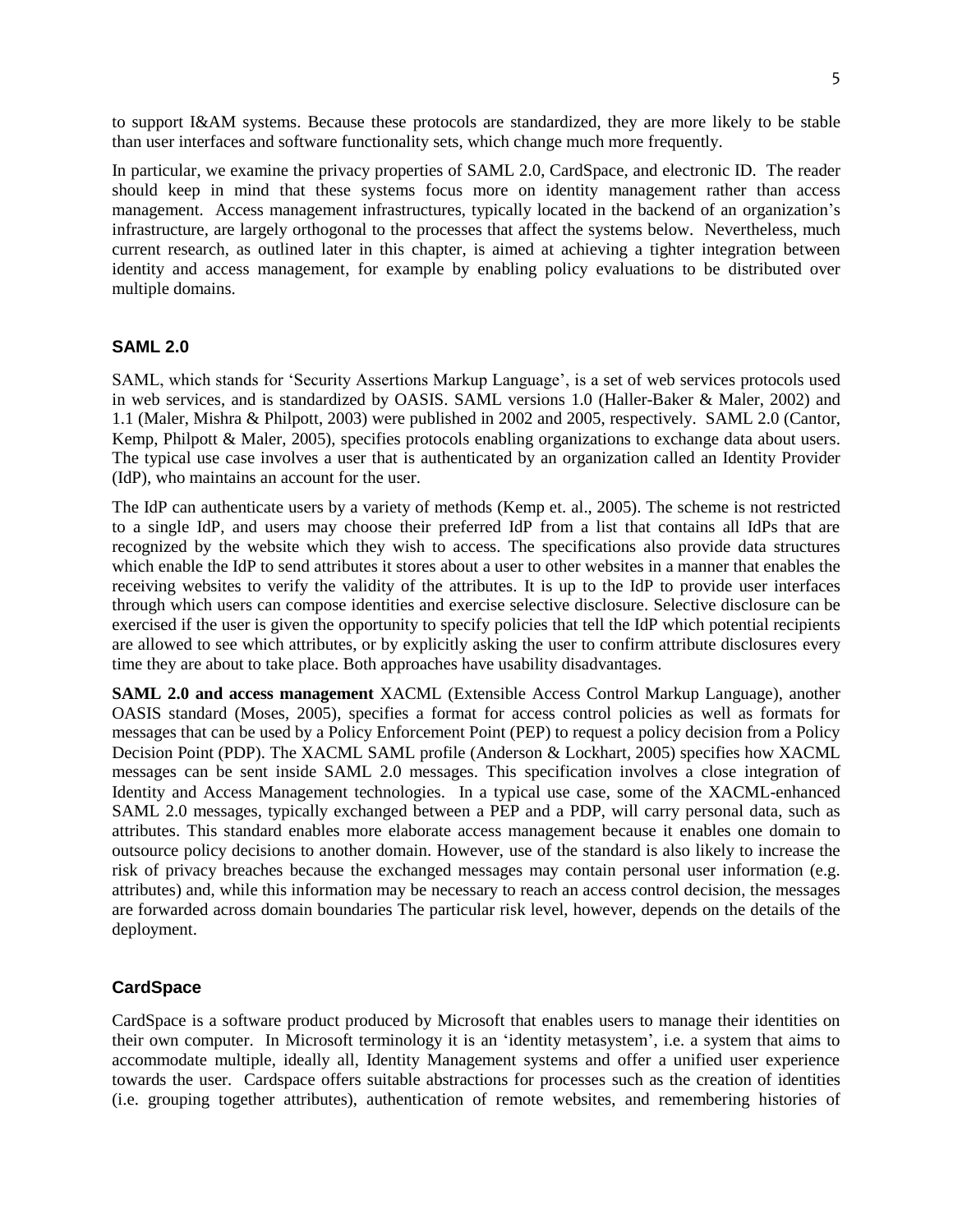to support I&AM systems. Because these protocols are standardized, they are more likely to be stable than user interfaces and software functionality sets, which change much more frequently.

In particular, we examine the privacy properties of SAML 2.0, CardSpace, and electronic ID. The reader should keep in mind that these systems focus more on identity management rather than access management. Access management infrastructures, typically located in the backend of an organization"s infrastructure, are largely orthogonal to the processes that affect the systems below. Nevertheless, much current research, as outlined later in this chapter, is aimed at achieving a tighter integration between identity and access management, for example by enabling policy evaluations to be distributed over multiple domains.

#### **SAML 2.0**

SAML, which stands for "Security Assertions Markup Language", is a set of web services protocols used in web services, and is standardized by OASIS. SAML versions 1.0 (Haller-Baker & Maler, 2002) and 1.1 (Maler, Mishra & Philpott, 2003) were published in 2002 and 2005, respectively. SAML 2.0 (Cantor, Kemp, Philpott & Maler, 2005), specifies protocols enabling organizations to exchange data about users. The typical use case involves a user that is authenticated by an organization called an Identity Provider (IdP), who maintains an account for the user.

The IdP can authenticate users by a variety of methods (Kemp et. al., 2005). The scheme is not restricted to a single IdP, and users may choose their preferred IdP from a list that contains all IdPs that are recognized by the website which they wish to access. The specifications also provide data structures which enable the IdP to send attributes it stores about a user to other websites in a manner that enables the receiving websites to verify the validity of the attributes. It is up to the IdP to provide user interfaces through which users can compose identities and exercise selective disclosure. Selective disclosure can be exercised if the user is given the opportunity to specify policies that tell the IdP which potential recipients are allowed to see which attributes, or by explicitly asking the user to confirm attribute disclosures every time they are about to take place. Both approaches have usability disadvantages.

**SAML 2.0 and access management** XACML (Extensible Access Control Markup Language), another OASIS standard (Moses, 2005), specifies a format for access control policies as well as formats for messages that can be used by a Policy Enforcement Point (PEP) to request a policy decision from a Policy Decision Point (PDP). The XACML SAML profile (Anderson & Lockhart, 2005) specifies how XACML messages can be sent inside SAML 2.0 messages. This specification involves a close integration of Identity and Access Management technologies. In a typical use case, some of the XACML-enhanced SAML 2.0 messages, typically exchanged between a PEP and a PDP, will carry personal data, such as attributes. This standard enables more elaborate access management because it enables one domain to outsource policy decisions to another domain. However, use of the standard is also likely to increase the risk of privacy breaches because the exchanged messages may contain personal user information (e.g. attributes) and, while this information may be necessary to reach an access control decision, the messages are forwarded across domain boundaries The particular risk level, however, depends on the details of the deployment.

## **CardSpace**

CardSpace is a software product produced by Microsoft that enables users to manage their identities on their own computer. In Microsoft terminology it is an "identity metasystem", i.e. a system that aims to accommodate multiple, ideally all, Identity Management systems and offer a unified user experience towards the user. Cardspace offers suitable abstractions for processes such as the creation of identities (i.e. grouping together attributes), authentication of remote websites, and remembering histories of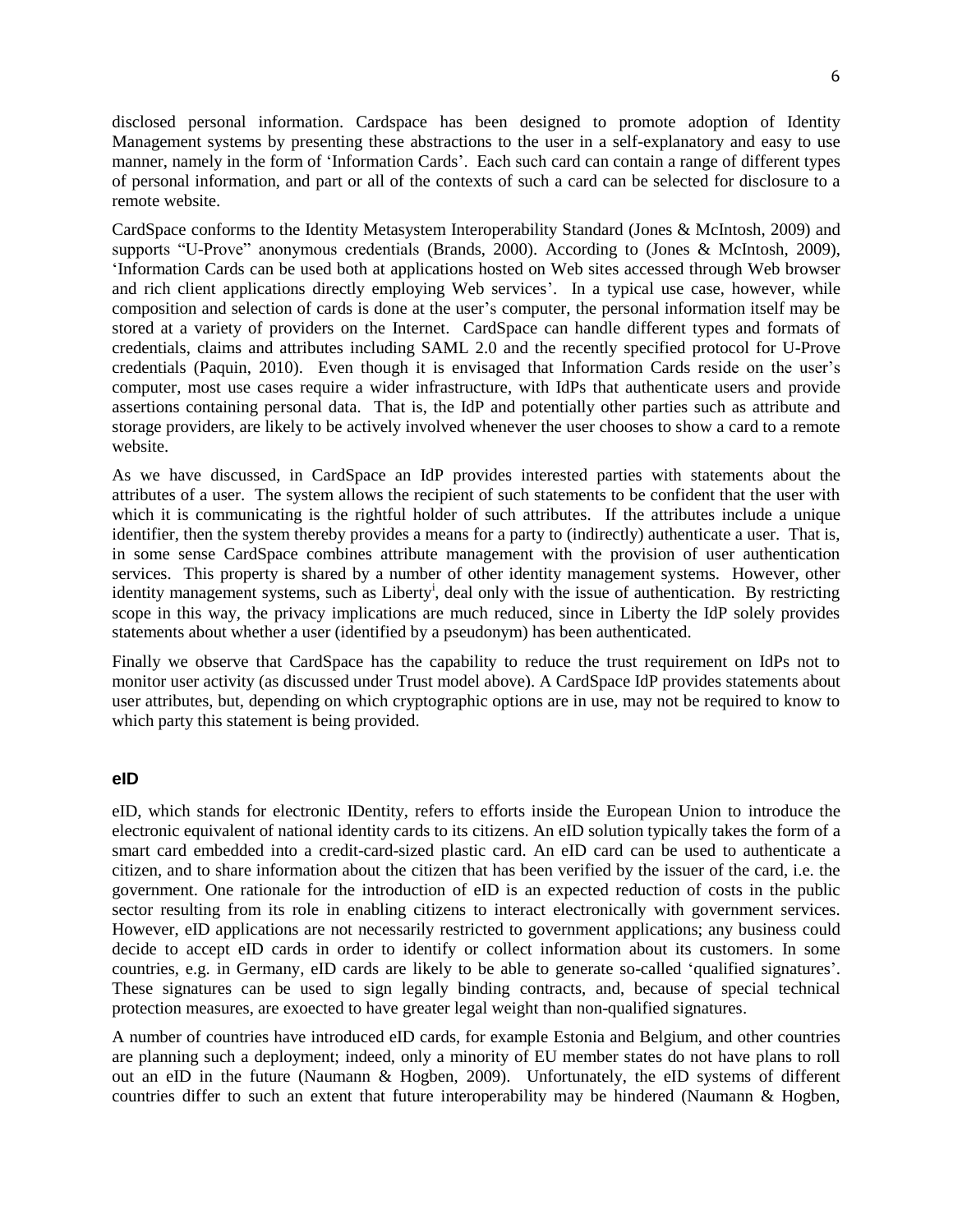disclosed personal information. Cardspace has been designed to promote adoption of Identity Management systems by presenting these abstractions to the user in a self-explanatory and easy to use manner, namely in the form of "Information Cards". Each such card can contain a range of different types of personal information, and part or all of the contexts of such a card can be selected for disclosure to a remote website.

CardSpace conforms to the Identity Metasystem Interoperability Standard (Jones & McIntosh, 2009) and supports "U-Prove" anonymous credentials (Brands, 2000). According to (Jones & McIntosh, 2009), "Information Cards can be used both at applications hosted on Web sites accessed through Web browser and rich client applications directly employing Web services'. In a typical use case, however, while composition and selection of cards is done at the user"s computer, the personal information itself may be stored at a variety of providers on the Internet. CardSpace can handle different types and formats of credentials, claims and attributes including SAML 2.0 and the recently specified protocol for U-Prove credentials (Paquin, 2010). Even though it is envisaged that Information Cards reside on the user"s computer, most use cases require a wider infrastructure, with IdPs that authenticate users and provide assertions containing personal data. That is, the IdP and potentially other parties such as attribute and storage providers, are likely to be actively involved whenever the user chooses to show a card to a remote website.

As we have discussed, in CardSpace an IdP provides interested parties with statements about the attributes of a user. The system allows the recipient of such statements to be confident that the user with which it is communicating is the rightful holder of such attributes. If the attributes include a unique identifier, then the system thereby provides a means for a party to (indirectly) authenticate a user. That is, in some sense CardSpace combines attribute management with the provision of user authentication services. This property is shared by a number of other identity management systems. However, other identity management systems, such as Liberty<sup>i</sup>, deal only with the issue of authentication. By restricting scope in this way, the privacy implications are much reduced, since in Liberty the IdP solely provides statements about whether a user (identified by a pseudonym) has been authenticated.

Finally we observe that CardSpace has the capability to reduce the trust requirement on IdPs not to monitor user activity (as discussed under Trust model above). A CardSpace IdP provides statements about user attributes, but, depending on which cryptographic options are in use, may not be required to know to which party this statement is being provided.

#### **eID**

eID, which stands for electronic IDentity, refers to efforts inside the European Union to introduce the electronic equivalent of national identity cards to its citizens. An eID solution typically takes the form of a smart card embedded into a credit-card-sized plastic card. An eID card can be used to authenticate a citizen, and to share information about the citizen that has been verified by the issuer of the card, i.e. the government. One rationale for the introduction of eID is an expected reduction of costs in the public sector resulting from its role in enabling citizens to interact electronically with government services. However, eID applications are not necessarily restricted to government applications; any business could decide to accept eID cards in order to identify or collect information about its customers. In some countries, e.g. in Germany, eID cards are likely to be able to generate so-called "qualified signatures". These signatures can be used to sign legally binding contracts, and, because of special technical protection measures, are exoected to have greater legal weight than non-qualified signatures.

A number of countries have introduced eID cards, for example Estonia and Belgium, and other countries are planning such a deployment; indeed, only a minority of EU member states do not have plans to roll out an eID in the future (Naumann & Hogben, 2009). Unfortunately, the eID systems of different countries differ to such an extent that future interoperability may be hindered (Naumann & Hogben,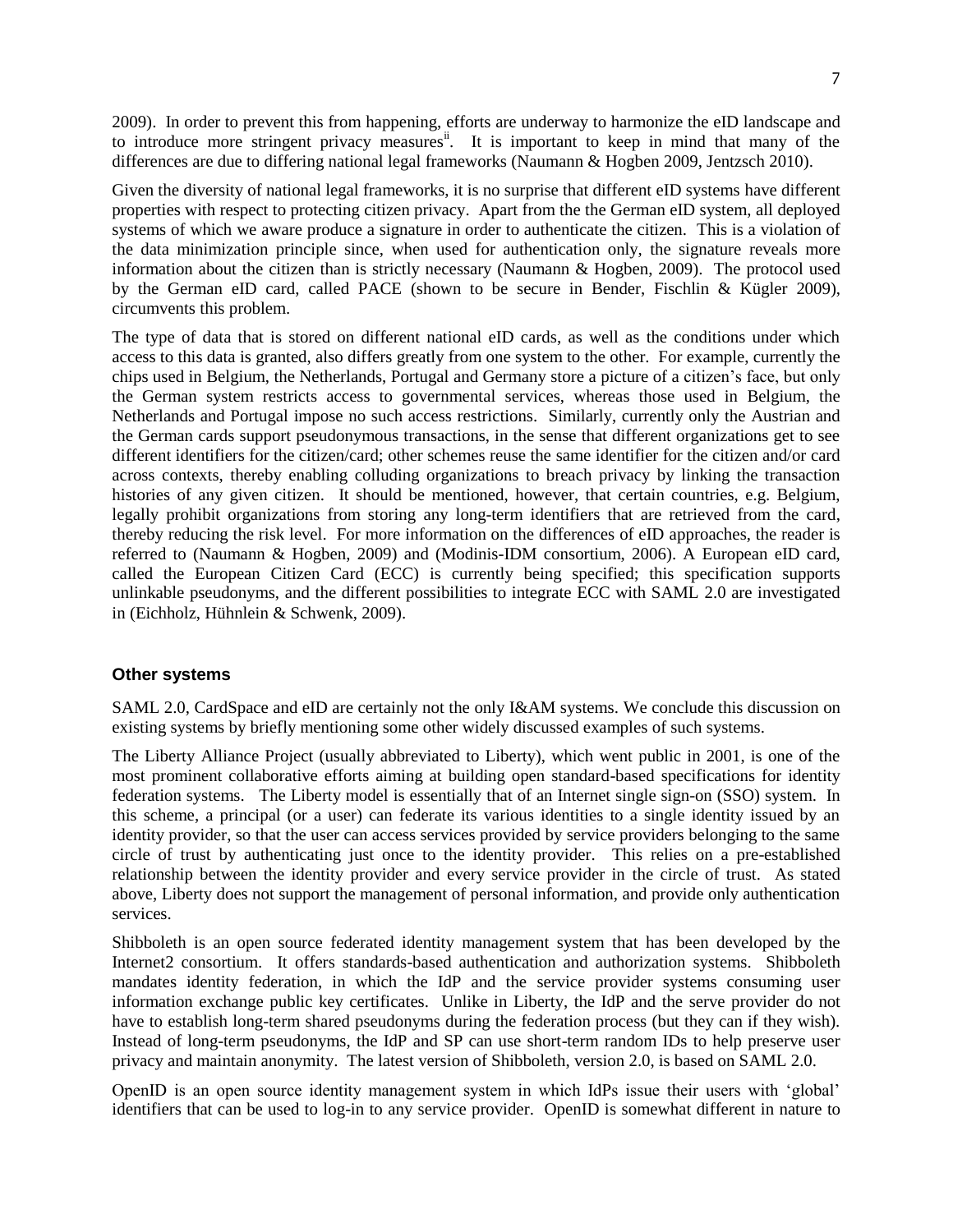2009). In order to prevent this from happening, efforts are underway to harmonize the eID landscape and to introduce more stringent privacy measures<sup>ii</sup>. It is important to keep in mind that many of the differences are due to differing national legal frameworks (Naumann & Hogben 2009, Jentzsch 2010).

Given the diversity of national legal frameworks, it is no surprise that different eID systems have different properties with respect to protecting citizen privacy. Apart from the the German eID system, all deployed systems of which we aware produce a signature in order to authenticate the citizen. This is a violation of the data minimization principle since, when used for authentication only, the signature reveals more information about the citizen than is strictly necessary (Naumann & Hogben, 2009). The protocol used by the German eID card, called PACE (shown to be secure in Bender, Fischlin & Kügler 2009), circumvents this problem.

The type of data that is stored on different national eID cards, as well as the conditions under which access to this data is granted, also differs greatly from one system to the other. For example, currently the chips used in Belgium, the Netherlands, Portugal and Germany store a picture of a citizen"s face, but only the German system restricts access to governmental services, whereas those used in Belgium, the Netherlands and Portugal impose no such access restrictions. Similarly, currently only the Austrian and the German cards support pseudonymous transactions, in the sense that different organizations get to see different identifiers for the citizen/card; other schemes reuse the same identifier for the citizen and/or card across contexts, thereby enabling colluding organizations to breach privacy by linking the transaction histories of any given citizen. It should be mentioned, however, that certain countries, e.g. Belgium, legally prohibit organizations from storing any long-term identifiers that are retrieved from the card, thereby reducing the risk level. For more information on the differences of eID approaches, the reader is referred to (Naumann & Hogben, 2009) and (Modinis-IDM consortium, 2006). A European eID card, called the European Citizen Card (ECC) is currently being specified; this specification supports unlinkable pseudonyms, and the different possibilities to integrate ECC with SAML 2.0 are investigated in (Eichholz, Hühnlein & Schwenk, 2009).

#### **Other systems**

SAML 2.0, CardSpace and eID are certainly not the only I&AM systems. We conclude this discussion on existing systems by briefly mentioning some other widely discussed examples of such systems.

The Liberty Alliance Project (usually abbreviated to Liberty), which went public in 2001, is one of the most prominent collaborative efforts aiming at building open standard-based specifications for identity federation systems. The Liberty model is essentially that of an Internet single sign-on (SSO) system. In this scheme, a principal (or a user) can federate its various identities to a single identity issued by an identity provider, so that the user can access services provided by service providers belonging to the same circle of trust by authenticating just once to the identity provider. This relies on a pre-established relationship between the identity provider and every service provider in the circle of trust. As stated above, Liberty does not support the management of personal information, and provide only authentication services.

Shibboleth is an open source federated identity management system that has been developed by the Internet2 consortium. It offers standards-based authentication and authorization systems. Shibboleth mandates identity federation, in which the IdP and the service provider systems consuming user information exchange public key certificates. Unlike in Liberty, the IdP and the serve provider do not have to establish long-term shared pseudonyms during the federation process (but they can if they wish). Instead of long-term pseudonyms, the IdP and SP can use short-term random IDs to help preserve user privacy and maintain anonymity. The latest version of Shibboleth, version 2.0, is based on SAML 2.0.

OpenID is an open source identity management system in which IdPs issue their users with "global" identifiers that can be used to log-in to any service provider. OpenID is somewhat different in nature to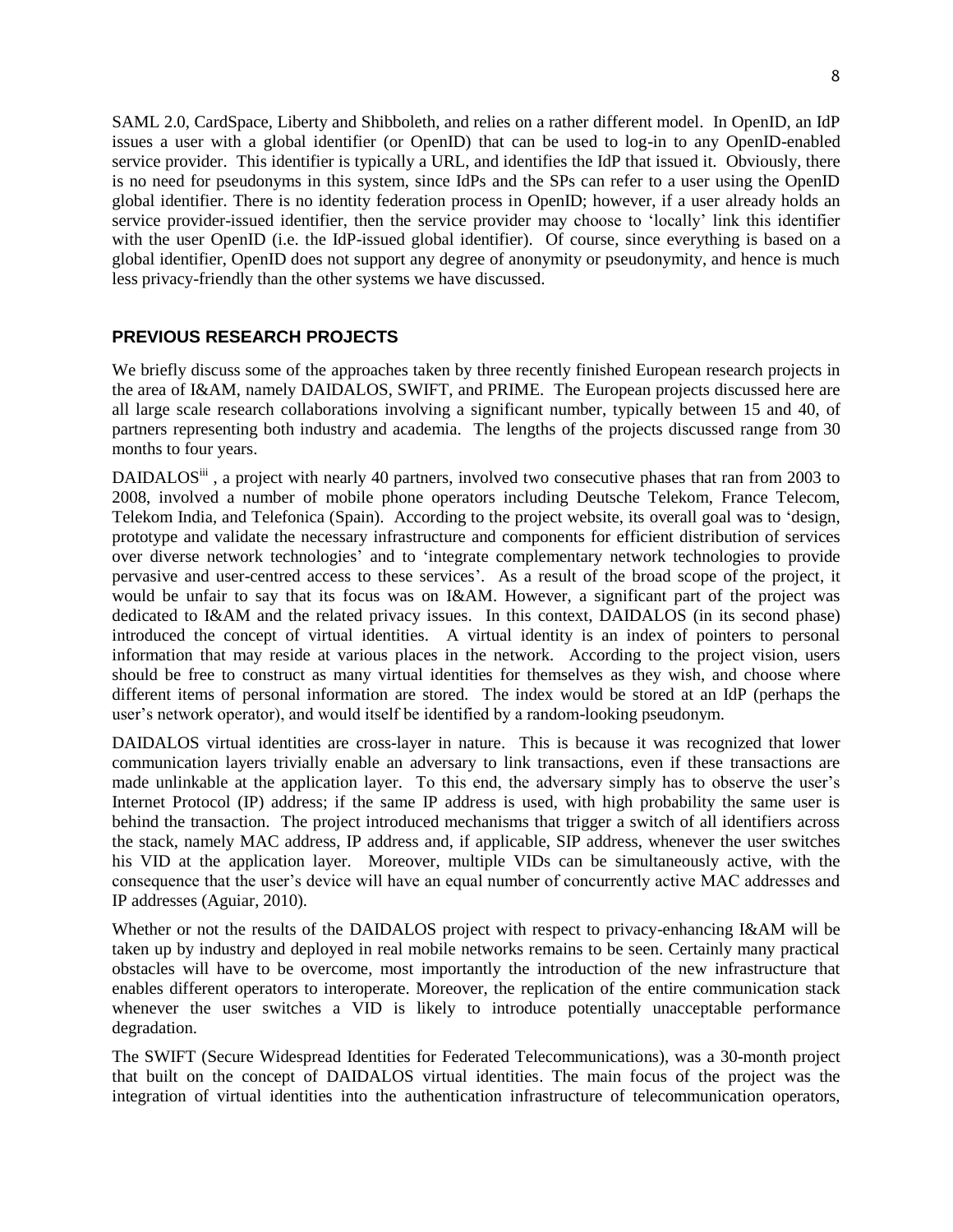SAML 2.0, CardSpace, Liberty and Shibboleth, and relies on a rather different model. In OpenID, an IdP issues a user with a global identifier (or OpenID) that can be used to log-in to any OpenID-enabled service provider. This identifier is typically a URL, and identifies the IdP that issued it. Obviously, there is no need for pseudonyms in this system, since IdPs and the SPs can refer to a user using the OpenID global identifier. There is no identity federation process in OpenID; however, if a user already holds an service provider-issued identifier, then the service provider may choose to "locally" link this identifier with the user OpenID (i.e. the IdP-issued global identifier). Of course, since everything is based on a global identifier, OpenID does not support any degree of anonymity or pseudonymity, and hence is much less privacy-friendly than the other systems we have discussed.

# **PREVIOUS RESEARCH PROJECTS**

We briefly discuss some of the approaches taken by three recently finished European research projects in the area of I&AM, namely DAIDALOS, SWIFT, and PRIME. The European projects discussed here are all large scale research collaborations involving a significant number, typically between 15 and 40, of partners representing both industry and academia. The lengths of the projects discussed range from 30 months to four years.

DAIDALOS<sup>iii</sup>, a project with nearly 40 partners, involved two consecutive phases that ran from 2003 to 2008, involved a number of mobile phone operators including Deutsche Telekom, France Telecom, Telekom India, and Telefonica (Spain). According to the project website, its overall goal was to "design, prototype and validate the necessary infrastructure and components for efficient distribution of services over diverse network technologies" and to "integrate complementary network technologies to provide pervasive and user-centred access to these services". As a result of the broad scope of the project, it would be unfair to say that its focus was on I&AM. However, a significant part of the project was dedicated to I&AM and the related privacy issues. In this context, DAIDALOS (in its second phase) introduced the concept of virtual identities. A virtual identity is an index of pointers to personal information that may reside at various places in the network. According to the project vision, users should be free to construct as many virtual identities for themselves as they wish, and choose where different items of personal information are stored. The index would be stored at an IdP (perhaps the user"s network operator), and would itself be identified by a random-looking pseudonym.

DAIDALOS virtual identities are cross-layer in nature. This is because it was recognized that lower communication layers trivially enable an adversary to link transactions, even if these transactions are made unlinkable at the application layer. To this end, the adversary simply has to observe the user"s Internet Protocol (IP) address; if the same IP address is used, with high probability the same user is behind the transaction. The project introduced mechanisms that trigger a switch of all identifiers across the stack, namely MAC address, IP address and, if applicable, SIP address, whenever the user switches his VID at the application layer. Moreover, multiple VIDs can be simultaneously active, with the consequence that the user"s device will have an equal number of concurrently active MAC addresses and IP addresses (Aguiar, 2010).

Whether or not the results of the DAIDALOS project with respect to privacy-enhancing I&AM will be taken up by industry and deployed in real mobile networks remains to be seen. Certainly many practical obstacles will have to be overcome, most importantly the introduction of the new infrastructure that enables different operators to interoperate. Moreover, the replication of the entire communication stack whenever the user switches a VID is likely to introduce potentially unacceptable performance degradation.

The SWIFT (Secure Widespread Identities for Federated Telecommunications), was a 30-month project that built on the concept of DAIDALOS virtual identities. The main focus of the project was the integration of virtual identities into the authentication infrastructure of telecommunication operators,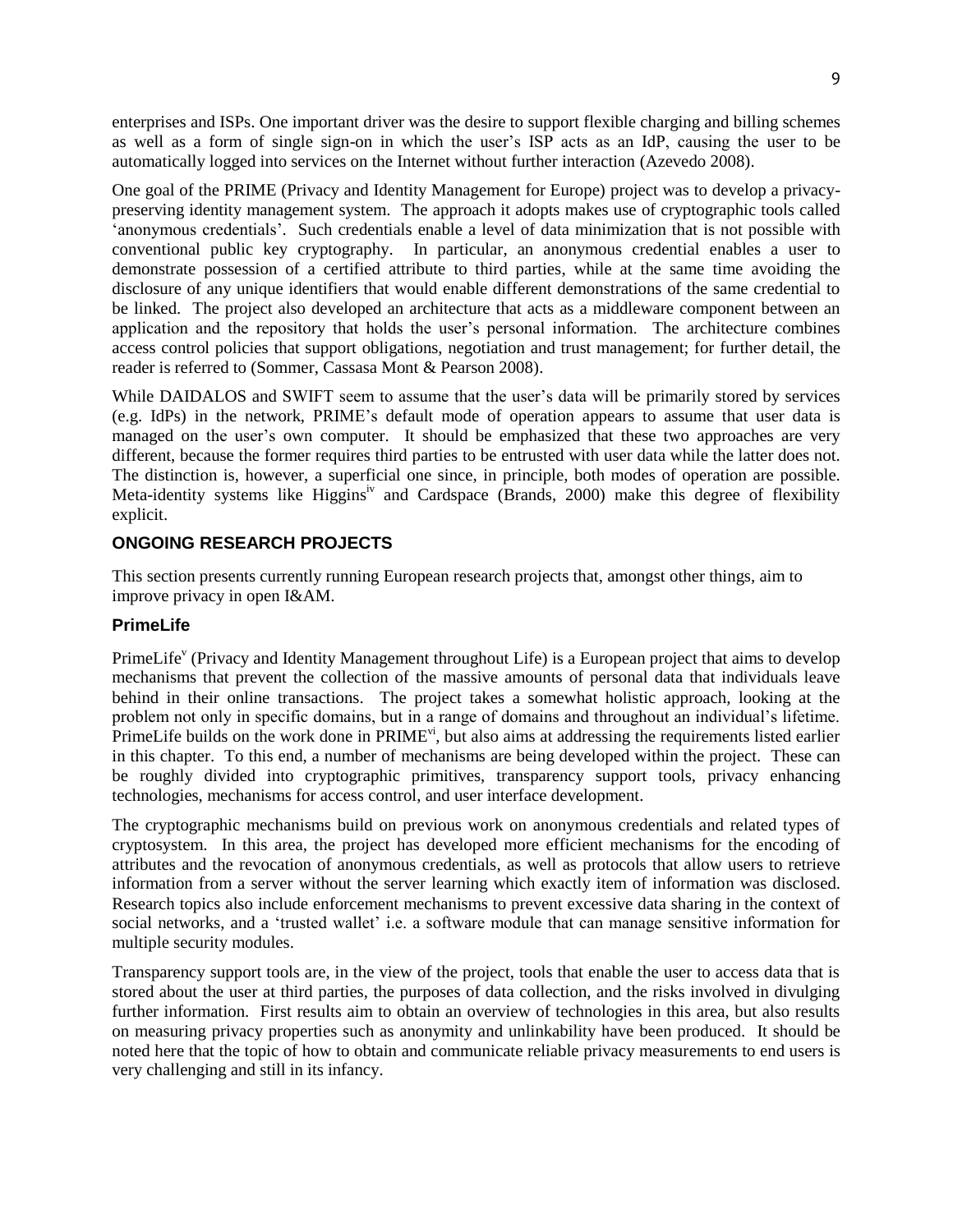enterprises and ISPs. One important driver was the desire to support flexible charging and billing schemes as well as a form of single sign-on in which the user"s ISP acts as an IdP, causing the user to be automatically logged into services on the Internet without further interaction (Azevedo 2008).

One goal of the PRIME (Privacy and Identity Management for Europe) project was to develop a privacypreserving identity management system. The approach it adopts makes use of cryptographic tools called "anonymous credentials". Such credentials enable a level of data minimization that is not possible with conventional public key cryptography. In particular, an anonymous credential enables a user to demonstrate possession of a certified attribute to third parties, while at the same time avoiding the disclosure of any unique identifiers that would enable different demonstrations of the same credential to be linked. The project also developed an architecture that acts as a middleware component between an application and the repository that holds the user"s personal information. The architecture combines access control policies that support obligations, negotiation and trust management; for further detail, the reader is referred to (Sommer, Cassasa Mont & Pearson 2008).

While DAIDALOS and SWIFT seem to assume that the user's data will be primarily stored by services (e.g. IdPs) in the network, PRIME"s default mode of operation appears to assume that user data is managed on the user's own computer. It should be emphasized that these two approaches are very different, because the former requires third parties to be entrusted with user data while the latter does not. The distinction is, however, a superficial one since, in principle, both modes of operation are possible. Meta-identity systems like Higgins<sup>iv</sup> and Cardspace (Brands, 2000) make this degree of flexibility explicit.

# **ONGOING RESEARCH PROJECTS**

This section presents currently running European research projects that, amongst other things, aim to improve privacy in open I&AM.

# **PrimeLife**

PrimeLife<sup>v</sup> (Privacy and Identity Management throughout Life) is a European project that aims to develop mechanisms that prevent the collection of the massive amounts of personal data that individuals leave behind in their online transactions. The project takes a somewhat holistic approach, looking at the problem not only in specific domains, but in a range of domains and throughout an individual"s lifetime. PrimeLife builds on the work done in  $\text{PRIME}^{\text{vi}}$ , but also aims at addressing the requirements listed earlier in this chapter. To this end, a number of mechanisms are being developed within the project. These can be roughly divided into cryptographic primitives, transparency support tools, privacy enhancing technologies, mechanisms for access control, and user interface development.

The cryptographic mechanisms build on previous work on anonymous credentials and related types of cryptosystem. In this area, the project has developed more efficient mechanisms for the encoding of attributes and the revocation of anonymous credentials, as well as protocols that allow users to retrieve information from a server without the server learning which exactly item of information was disclosed. Research topics also include enforcement mechanisms to prevent excessive data sharing in the context of social networks, and a "trusted wallet" i.e. a software module that can manage sensitive information for multiple security modules.

Transparency support tools are, in the view of the project, tools that enable the user to access data that is stored about the user at third parties, the purposes of data collection, and the risks involved in divulging further information. First results aim to obtain an overview of technologies in this area, but also results on measuring privacy properties such as anonymity and unlinkability have been produced. It should be noted here that the topic of how to obtain and communicate reliable privacy measurements to end users is very challenging and still in its infancy.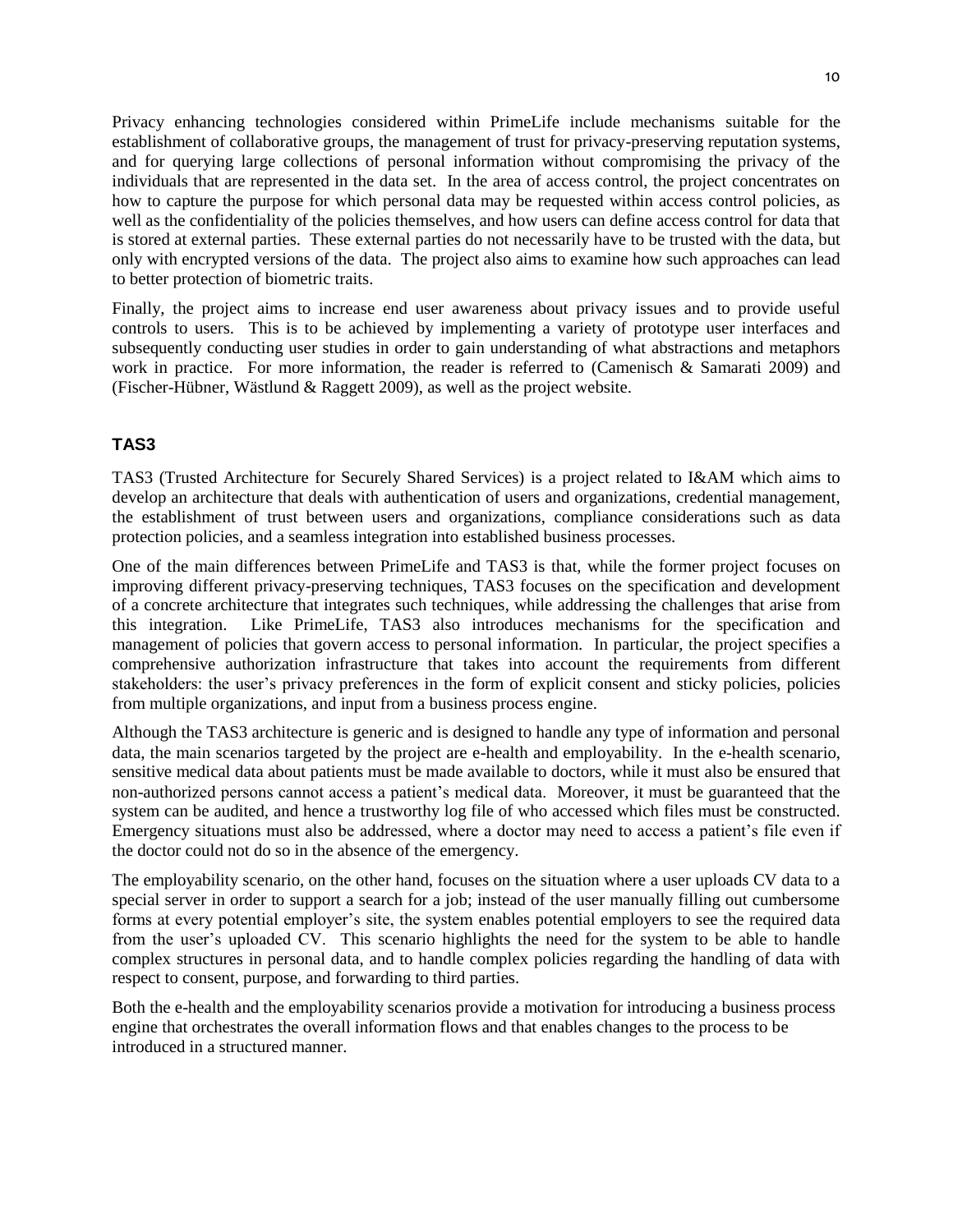Privacy enhancing technologies considered within PrimeLife include mechanisms suitable for the establishment of collaborative groups, the management of trust for privacy-preserving reputation systems, and for querying large collections of personal information without compromising the privacy of the individuals that are represented in the data set. In the area of access control, the project concentrates on how to capture the purpose for which personal data may be requested within access control policies, as well as the confidentiality of the policies themselves, and how users can define access control for data that is stored at external parties. These external parties do not necessarily have to be trusted with the data, but only with encrypted versions of the data. The project also aims to examine how such approaches can lead to better protection of biometric traits.

Finally, the project aims to increase end user awareness about privacy issues and to provide useful controls to users. This is to be achieved by implementing a variety of prototype user interfaces and subsequently conducting user studies in order to gain understanding of what abstractions and metaphors work in practice. For more information, the reader is referred to (Camenisch & Samarati 2009) and (Fischer-Hübner, Wästlund & Raggett 2009), as well as the project website.

# **TAS3**

TAS3 (Trusted Architecture for Securely Shared Services) is a project related to I&AM which aims to develop an architecture that deals with authentication of users and organizations, credential management, the establishment of trust between users and organizations, compliance considerations such as data protection policies, and a seamless integration into established business processes.

One of the main differences between PrimeLife and TAS3 is that, while the former project focuses on improving different privacy-preserving techniques, TAS3 focuses on the specification and development of a concrete architecture that integrates such techniques, while addressing the challenges that arise from this integration. Like PrimeLife, TAS3 also introduces mechanisms for the specification and management of policies that govern access to personal information. In particular, the project specifies a comprehensive authorization infrastructure that takes into account the requirements from different stakeholders: the user's privacy preferences in the form of explicit consent and sticky policies, policies from multiple organizations, and input from a business process engine.

Although the TAS3 architecture is generic and is designed to handle any type of information and personal data, the main scenarios targeted by the project are e-health and employability. In the e-health scenario, sensitive medical data about patients must be made available to doctors, while it must also be ensured that non-authorized persons cannot access a patient"s medical data. Moreover, it must be guaranteed that the system can be audited, and hence a trustworthy log file of who accessed which files must be constructed. Emergency situations must also be addressed, where a doctor may need to access a patient"s file even if the doctor could not do so in the absence of the emergency.

The employability scenario, on the other hand, focuses on the situation where a user uploads CV data to a special server in order to support a search for a job; instead of the user manually filling out cumbersome forms at every potential employer"s site, the system enables potential employers to see the required data from the user's uploaded CV. This scenario highlights the need for the system to be able to handle complex structures in personal data, and to handle complex policies regarding the handling of data with respect to consent, purpose, and forwarding to third parties.

Both the e-health and the employability scenarios provide a motivation for introducing a business process engine that orchestrates the overall information flows and that enables changes to the process to be introduced in a structured manner.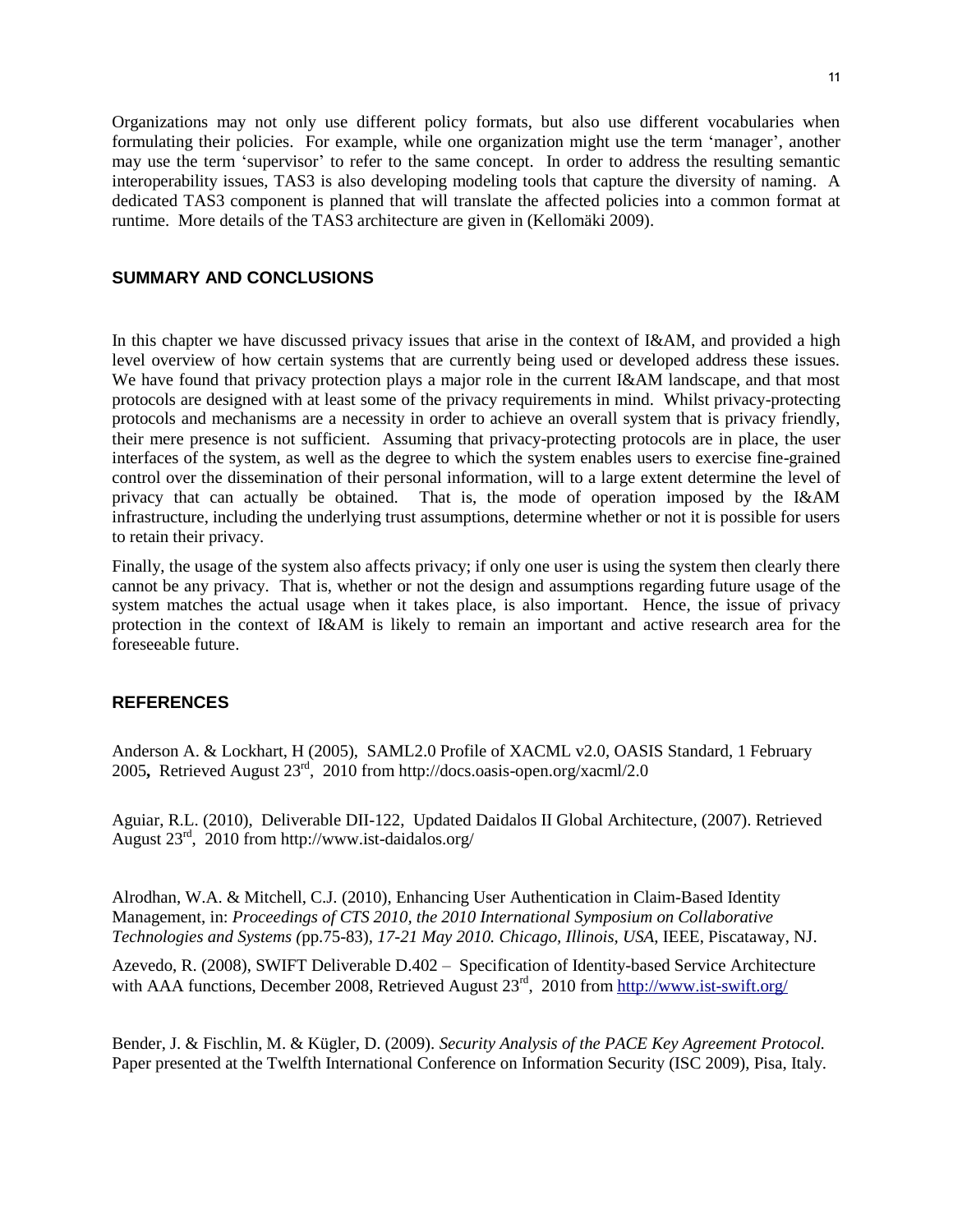Organizations may not only use different policy formats, but also use different vocabularies when formulating their policies. For example, while one organization might use the term "manager", another may use the term "supervisor" to refer to the same concept. In order to address the resulting semantic interoperability issues, TAS3 is also developing modeling tools that capture the diversity of naming. A dedicated TAS3 component is planned that will translate the affected policies into a common format at runtime. More details of the TAS3 architecture are given in (Kellomäki 2009).

## **SUMMARY AND CONCLUSIONS**

In this chapter we have discussed privacy issues that arise in the context of I&AM, and provided a high level overview of how certain systems that are currently being used or developed address these issues. We have found that privacy protection plays a major role in the current I&AM landscape, and that most protocols are designed with at least some of the privacy requirements in mind. Whilst privacy-protecting protocols and mechanisms are a necessity in order to achieve an overall system that is privacy friendly, their mere presence is not sufficient. Assuming that privacy-protecting protocols are in place, the user interfaces of the system, as well as the degree to which the system enables users to exercise fine-grained control over the dissemination of their personal information, will to a large extent determine the level of privacy that can actually be obtained. That is, the mode of operation imposed by the I&AM infrastructure, including the underlying trust assumptions, determine whether or not it is possible for users to retain their privacy.

Finally, the usage of the system also affects privacy; if only one user is using the system then clearly there cannot be any privacy. That is, whether or not the design and assumptions regarding future usage of the system matches the actual usage when it takes place, is also important. Hence, the issue of privacy protection in the context of I&AM is likely to remain an important and active research area for the foreseeable future.

# **REFERENCES**

Anderson A. & Lockhart, H (2005), SAML2.0 Profile of XACML v2.0, OASIS Standard, 1 February 2005**,** Retrieved August 23rd, 2010 from http://docs.oasis-open.org/xacml/2.0

Aguiar, R.L. (2010), Deliverable DII-122, Updated Daidalos II Global Architecture, (2007). Retrieved August 23rd, 2010 from http://www.ist-daidalos.org/

Alrodhan, W.A. & Mitchell, C.J. (2010), Enhancing User Authentication in Claim-Based Identity Management, in: *Proceedings of CTS 2010, the 2010 International Symposium on Collaborative Technologies and Systems (*pp.75-83)*, 17-21 May 2010. Chicago, Illinois, USA*, IEEE, Piscataway, NJ.

Azevedo, R. (2008), SWIFT Deliverable D.402 – Specification of Identity-based Service Architecture with AAA functions, December 2008, Retrieved August 23<sup>rd</sup>, 2010 from<http://www.ist-swift.org/>

Bender, J. & Fischlin, M. & Kügler, D. (2009). *Security Analysis of the PACE Key Agreement Protocol.*  Paper presented at the Twelfth International Conference on Information Security (ISC 2009), Pisa, Italy.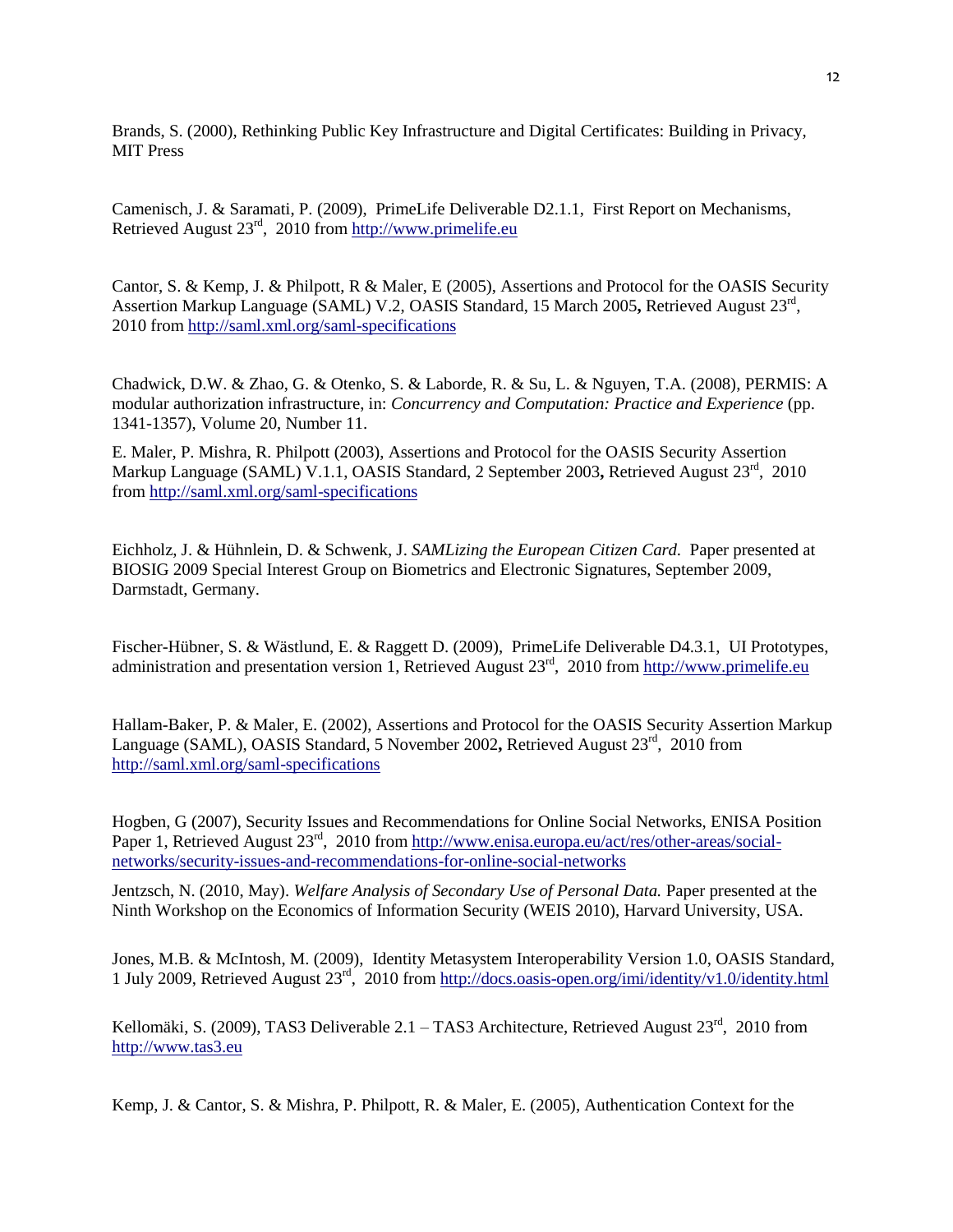Brands, S. (2000), Rethinking Public Key Infrastructure and Digital Certificates: Building in Privacy, MIT Press

Camenisch, J. & Saramati, P. (2009), PrimeLife Deliverable D2.1.1, First Report on Mechanisms, Retrieved August  $23^{rd}$ , 2010 from [http://www.primelife.eu](http://www.primelife.eu/)

Cantor, S. & Kemp, J. & Philpott, R & Maler, E (2005), Assertions and Protocol for the OASIS Security Assertion Markup Language (SAML) V.2, OASIS Standard, 15 March 2005**,** Retrieved August 23rd , 2010 from<http://saml.xml.org/saml-specifications>

Chadwick, D.W. & Zhao, G. & Otenko, S. & Laborde, R. & Su, L. & Nguyen, T.A. (2008), PERMIS: A modular authorization infrastructure, in: *Concurrency and Computation: Practice and Experience* (pp. 1341-1357), Volume 20, Number 11.

E. Maler, P. Mishra, R. Philpott (2003), Assertions and Protocol for the OASIS Security Assertion Markup Language (SAML) V.1.1, OASIS Standard, 2 September 2003**,** Retrieved August 23rd, 2010 from<http://saml.xml.org/saml-specifications>

Eichholz, J. & Hühnlein, D. & Schwenk, J. *SAMLizing the European Citizen Card*. Paper presented at BIOSIG 2009 Special Interest Group on Biometrics and Electronic Signatures, September 2009, Darmstadt, Germany.

Fischer-Hübner, S. & Wästlund, E. & Raggett D. (2009), PrimeLife Deliverable D4.3.1, UI Prototypes, administration and presentation version 1, Retrieved August 23<sup>rd</sup>, 2010 from [http://www.primelife.eu](http://www.primelife.eu/)

Hallam-Baker, P. & Maler, E. (2002), Assertions and Protocol for the OASIS Security Assertion Markup Language (SAML), OASIS Standard, 5 November 2002**,** Retrieved August 23rd, 2010 from <http://saml.xml.org/saml-specifications>

Hogben, G (2007), Security Issues and Recommendations for Online Social Networks, ENISA Position Paper 1, Retrieved August 23<sup>rd</sup>, 2010 from [http://www.enisa.europa.eu/act/res/other-areas/social](http://www.enisa.europa.eu/act/res/other-areas/social-networks/security-issues-and-recommendations-for-online-social-networks)[networks/security-issues-and-recommendations-for-online-social-networks](http://www.enisa.europa.eu/act/res/other-areas/social-networks/security-issues-and-recommendations-for-online-social-networks)

Jentzsch, N. (2010, May). *Welfare Analysis of Secondary Use of Personal Data.* Paper presented at the Ninth Workshop on the Economics of Information Security (WEIS 2010), Harvard University, USA.

Jones, M.B. & McIntosh, M. (2009), Identity Metasystem Interoperability Version 1.0, OASIS Standard, 1 July 2009, Retrieved August 23rd, 2010 from<http://docs.oasis-open.org/imi/identity/v1.0/identity.html>

Kellomäki, S. (2009), TAS3 Deliverable 2.1 – TAS3 Architecture, Retrieved August  $23<sup>rd</sup>$ , 2010 from [http://www.tas3.eu](http://www.tas3.eu/)

Kemp, J. & Cantor, S. & Mishra, P. Philpott, R. & Maler, E. (2005), Authentication Context for the